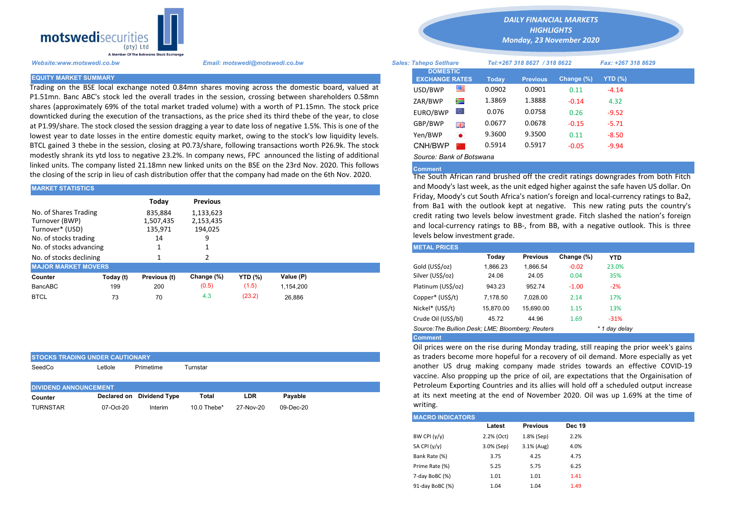

STOCKS TRADING UNDER CAUTIONARY

Trading on the BSE local exchange noted 0.84mn shares moving across the domestic board, valued at P1.51mn. Banc ABC's stock led the overall trades in the session, crossing between shareholders 0.58mn shares (approximately 69% of the total market traded volume) with a worth of P1.15mn. The stock price downticked during the execution of the transactions, as the price shed its third thebe of the year, to close at P1.99/share. The stock closed the session dragging a year to date loss of negative 1.5%. This is one of the lowest year to date losses in the entire domestic equity market, owing to the stock's low liquidity levels. BTCL gained 3 thebe in the session, closing at P0.73/share, following transactions worth P26.9k. The stock modestly shrank its ytd loss to negative 23.2%. In company news, FPC announced the listing of additional linked units. The company listed 21.18mn new linked units on the BSE on the 23rd Nov. 2020. This follows the closing of the scrip in lieu of cash distribution offer that the company had made on the 6th Nov. 2020.

| <b>MARKET STATISTICS</b>                                                            |           |                                       |                                   | and Moody's last week, as the unit edged higher against the safe have<br>Friday, Moody's cut South Africa's nation's foreign and local-currenc |           |  |                                                                                                                                                                            |          |                 |            |            |  |
|-------------------------------------------------------------------------------------|-----------|---------------------------------------|-----------------------------------|------------------------------------------------------------------------------------------------------------------------------------------------|-----------|--|----------------------------------------------------------------------------------------------------------------------------------------------------------------------------|----------|-----------------|------------|------------|--|
|                                                                                     |           | Today                                 | <b>Previous</b>                   |                                                                                                                                                |           |  | from Ba1 with the outlook kept at negative. This new rating pu                                                                                                             |          |                 |            |            |  |
| No. of Shares Trading<br>Turnover (BWP)<br>Turnover* (USD)<br>No. of stocks trading |           | 835.884<br>1,507,435<br>135,971<br>14 | 1,133,623<br>2,153,435<br>194.025 |                                                                                                                                                |           |  | credit rating two levels below investment grade. Fitch slashed the<br>and local-currency ratings to BB-, from BB, with a negative outlor<br>levels below investment grade. |          |                 |            |            |  |
| No. of stocks advancing                                                             |           |                                       |                                   |                                                                                                                                                |           |  | <b>METAL PRICES</b>                                                                                                                                                        |          |                 |            |            |  |
| No. of stocks declining                                                             |           |                                       |                                   |                                                                                                                                                |           |  |                                                                                                                                                                            | Today    | <b>Previous</b> | Change (%) | <b>YTD</b> |  |
| <b>MAJOR MARKET MOVERS</b>                                                          |           |                                       |                                   |                                                                                                                                                |           |  | Gold (US\$/oz)                                                                                                                                                             | 1,866.23 | 1.866.54        | $-0.02$    | 23.0%      |  |
| Counter                                                                             | Today (t) | Previous (t)                          | Change (%)                        | <b>YTD</b> (%)                                                                                                                                 | Value (P) |  | Silver (US\$/oz)                                                                                                                                                           | 24.06    | 24.05           | 0.04       | 35%        |  |
| BancABC                                                                             | 199       | 200                                   | (0.5)                             | (1.5)                                                                                                                                          | 1.154.200 |  | Platinum (US\$/oz)                                                                                                                                                         | 943.23   | 952.74          | $-1.00$    | $-2%$      |  |
| <b>BTCL</b>                                                                         | 73        | 70                                    | 4.3                               | (23.2)                                                                                                                                         | 26.886    |  | Copper* (US\$/t)                                                                                                                                                           | 7,178.50 | 7.028.00        | 2.14       | 17%        |  |

| ISTOCKS TRADING UNDER CAUTIONART |           |                           |                |            |           |  |  |  |  |  |  |
|----------------------------------|-----------|---------------------------|----------------|------------|-----------|--|--|--|--|--|--|
| SeedCo                           | ∟etlole   | Primetime                 | Turnstar       |            |           |  |  |  |  |  |  |
| <b>DIVIDEND ANNOUNCEMENT</b>     |           |                           |                |            |           |  |  |  |  |  |  |
| Counter                          |           | Declared on Dividend Type | Total          | <b>LDR</b> | Pavable   |  |  |  |  |  |  |
| <b>TURNSTAR</b>                  | 07-Oct-20 | Interim                   | 10.0 Thebe $*$ | 27-Nov-20  | 09-Dec-20 |  |  |  |  |  |  |

*DAILY FINANCIAL MARKETS HIGHLIGHTS*

*Monday, 23 November 2020* 

| A Member Of the Boiswand Slock Exchange |                                                                                                                                                                                                              |                                          |           |              |                              |            |                    |  |  |
|-----------------------------------------|--------------------------------------------------------------------------------------------------------------------------------------------------------------------------------------------------------------|------------------------------------------|-----------|--------------|------------------------------|------------|--------------------|--|--|
| Website:www.motswedi.co.bw              | Email: motswedi@motswedi.co.bw                                                                                                                                                                               | <b>Sales: Tshepo Setlhare</b>            |           |              | Tel:+267 318 8627 / 318 8622 |            | Fax: +267 318 8629 |  |  |
| <b>EQUITY MARKET SUMMARY</b>            |                                                                                                                                                                                                              | <b>DOMESTIC</b><br><b>EXCHANGE RATES</b> |           | <b>Todav</b> | <b>Previous</b>              | Change (%) | $YTD(\%)$          |  |  |
|                                         | Frading on the BSE local exchange noted 0.84mn shares moving across the domestic board, valued at                                                                                                            | USD/BWP                                  | ≝         | 0.0902       | 0.0901                       | 0.11       | $-4.14$            |  |  |
|                                         | 1.51mn. Banc ABC's stock led the overall trades in the session, crossing between shareholders 0.58mn<br>hares (approximately 69% of the total market traded volume) with a worth of P1.15mn. The stock price | ZAR/BWP                                  | Ň         | 1.3869       | 1.3888                       | $-0.14$    | 4.32               |  |  |
|                                         | downticked during the execution of the transactions, as the price shed its third thebe of the year, to close                                                                                                 | EURO/BWP                                 | LO)       | 0.076        | 0.0758                       | 0.26       | $-9.52$            |  |  |
|                                         | at P1.99/share. The stock closed the session dragging a year to date loss of negative 1.5%. This is one of the                                                                                               | GBP/BWP                                  | 開幕        | 0.0677       | 0.0678                       | $-0.15$    | $-5.71$            |  |  |
|                                         | owest year to date losses in the entire domestic equity market, owing to the stock's low liquidity levels.                                                                                                   | Yen/BWP                                  | $\bullet$ | 9.3600       | 9.3500                       | 0.11       | $-8.50$            |  |  |
|                                         | 3TCL gained 3 thebe in the session, closing at P0.73/share, following transactions worth P26.9k. The stock                                                                                                   | CNH/BWP                                  |           | 0.5914       | 0.5917                       | $-0.05$    | $-9.94$            |  |  |
|                                         | modestly shrank its ytd loss to negative 23.2%. In company news, FPC announced the listing of additional                                                                                                     | Source: Bank of Botswana                 |           |              |                              |            |                    |  |  |

## Comment

The South African rand brushed off the credit ratings downgrades from both Fitch and Moody's last week, as the unit edged higher against the safe haven US dollar. On Friday, Moody's cut South Africa's nation's foreign and local-currency ratings to Ba2, from Ba1 with the outlook kept at negative. This new rating puts the country's credit rating two levels below investment grade. Fitch slashed the nation's foreign and local-currency ratings to BB-, from BB, with a negative outlook. This is three levels below investment grade.

| <b>METAL PRICES</b>                                                |           |                 |            |            |  |  |  |  |  |
|--------------------------------------------------------------------|-----------|-----------------|------------|------------|--|--|--|--|--|
|                                                                    | Today     | <b>Previous</b> | Change (%) | <b>YTD</b> |  |  |  |  |  |
| Gold (US\$/oz)                                                     | 1.866.23  | 1.866.54        | $-0.02$    | 23.0%      |  |  |  |  |  |
| Silver (US\$/oz)                                                   | 24.06     | 24.05           | 0.04       | 35%        |  |  |  |  |  |
| Platinum (US\$/oz)                                                 | 943.23    | 952.74          | $-1.00$    | $-2%$      |  |  |  |  |  |
| Copper* (US\$/t)                                                   | 7.178.50  | 7.028.00        | 2.14       | 17%        |  |  |  |  |  |
| Nickel* (US\$/t)                                                   | 15.870.00 | 15.690.00       | 1.15       | 13%        |  |  |  |  |  |
| Crude Oil (US\$/bl)                                                | 45.72     | 44.96           | 1.69       | $-31%$     |  |  |  |  |  |
| Source: The Bullion Desk; LME; Bloomberg; Reuters<br>* 1 day delay |           |                 |            |            |  |  |  |  |  |
| <b>Comment</b>                                                     |           |                 |            |            |  |  |  |  |  |

Oil prices were on the rise during Monday trading, still reaping the prior week's gains as traders become more hopeful for a recovery of oil demand. More especially as yet another US drug making company made strides towards an effective COVID-19 vaccine. Also propping up the price of oil, are expectations that the Orgainisation of Petroleum Exporting Countries and its allies will hold off a scheduled output increase at its next meeting at the end of November 2020. Oil was up 1.69% at the time of writing.

| <b>IMACRO INDICATORS</b> |            |                 |               |
|--------------------------|------------|-----------------|---------------|
|                          | Latest     | <b>Previous</b> | <b>Dec 19</b> |
| BW CPI $(y/y)$           | 2.2% (Oct) | 1.8% (Sep)      | 2.2%          |
| SA CPI (y/y)             | 3.0% (Sep) | 3.1% (Aug)      | 4.0%          |
| Bank Rate (%)            | 3.75       | 4.25            | 4.75          |
| Prime Rate (%)           | 5.25       | 5.75            | 6.25          |
| 7-day BoBC (%)           | 1.01       | 1.01            | 1.41          |
| 91-day BoBC (%)          | 1.04       | 1.04            | 1.49          |